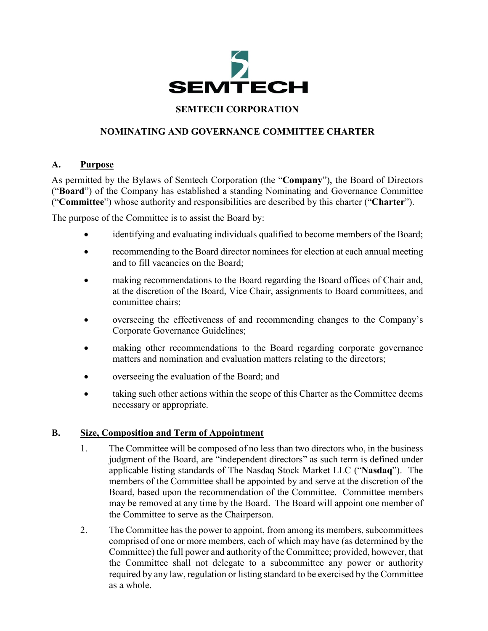

## **SEMTECH CORPORATION**

# **NOMINATING AND GOVERNANCE COMMITTEE CHARTER**

#### **A. Purpose**

As permitted by the Bylaws of Semtech Corporation (the "**Company**"), the Board of Directors ("**Board**") of the Company has established a standing Nominating and Governance Committee ("**Committee**") whose authority and responsibilities are described by this charter ("**Charter**").

The purpose of the Committee is to assist the Board by:

- identifying and evaluating individuals qualified to become members of the Board;
- recommending to the Board director nominees for election at each annual meeting and to fill vacancies on the Board;
- making recommendations to the Board regarding the Board offices of Chair and, at the discretion of the Board, Vice Chair, assignments to Board committees, and committee chairs;
- overseeing the effectiveness of and recommending changes to the Company's Corporate Governance Guidelines;
- making other recommendations to the Board regarding corporate governance matters and nomination and evaluation matters relating to the directors;
- overseeing the evaluation of the Board; and
- taking such other actions within the scope of this Charter as the Committee deems necessary or appropriate.

### **B. Size, Composition and Term of Appointment**

- 1. The Committee will be composed of no less than two directors who, in the business judgment of the Board, are "independent directors" as such term is defined under applicable listing standards of The Nasdaq Stock Market LLC ("**Nasdaq**"). The members of the Committee shall be appointed by and serve at the discretion of the Board, based upon the recommendation of the Committee. Committee members may be removed at any time by the Board. The Board will appoint one member of the Committee to serve as the Chairperson.
- 2. The Committee has the power to appoint, from among its members, subcommittees comprised of one or more members, each of which may have (as determined by the Committee) the full power and authority of the Committee; provided, however, that the Committee shall not delegate to a subcommittee any power or authority required by any law, regulation or listing standard to be exercised by the Committee as a whole.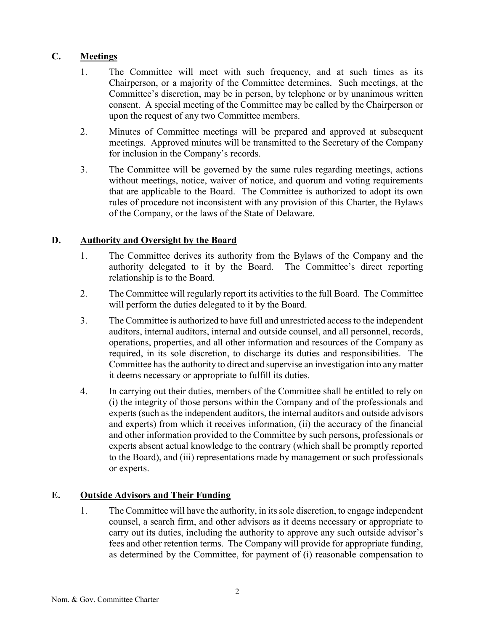## **C. Meetings**

- 1. The Committee will meet with such frequency, and at such times as its Chairperson, or a majority of the Committee determines. Such meetings, at the Committee's discretion, may be in person, by telephone or by unanimous written consent. A special meeting of the Committee may be called by the Chairperson or upon the request of any two Committee members.
- 2. Minutes of Committee meetings will be prepared and approved at subsequent meetings. Approved minutes will be transmitted to the Secretary of the Company for inclusion in the Company's records.
- 3. The Committee will be governed by the same rules regarding meetings, actions without meetings, notice, waiver of notice, and quorum and voting requirements that are applicable to the Board. The Committee is authorized to adopt its own rules of procedure not inconsistent with any provision of this Charter, the Bylaws of the Company, or the laws of the State of Delaware.

### **D. Authority and Oversight by the Board**

- 1. The Committee derives its authority from the Bylaws of the Company and the authority delegated to it by the Board. The Committee's direct reporting relationship is to the Board.
- 2. The Committee will regularly report its activities to the full Board. The Committee will perform the duties delegated to it by the Board.
- 3. The Committee is authorized to have full and unrestricted access to the independent auditors, internal auditors, internal and outside counsel, and all personnel, records, operations, properties, and all other information and resources of the Company as required, in its sole discretion, to discharge its duties and responsibilities. The Committee has the authority to direct and supervise an investigation into any matter it deems necessary or appropriate to fulfill its duties.
- 4. In carrying out their duties, members of the Committee shall be entitled to rely on (i) the integrity of those persons within the Company and of the professionals and experts (such as the independent auditors, the internal auditors and outside advisors and experts) from which it receives information, (ii) the accuracy of the financial and other information provided to the Committee by such persons, professionals or experts absent actual knowledge to the contrary (which shall be promptly reported to the Board), and (iii) representations made by management or such professionals or experts.

# **E. Outside Advisors and Their Funding**

1. The Committee will have the authority, in its sole discretion, to engage independent counsel, a search firm, and other advisors as it deems necessary or appropriate to carry out its duties, including the authority to approve any such outside advisor's fees and other retention terms. The Company will provide for appropriate funding, as determined by the Committee, for payment of (i) reasonable compensation to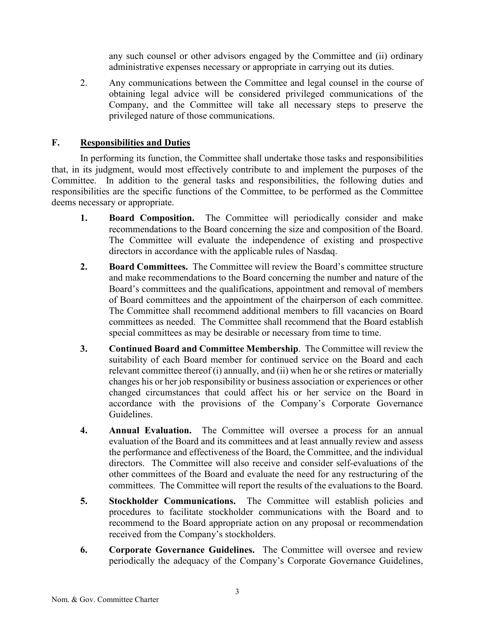any such counsel or other advisors engaged by the Committee and (ii) ordinary administrative expenses necessary or appropriate in carrying out its duties.

2. Any communications between the Committee and legal counsel in the course of obtaining legal advice will be considered privileged communications of the Company, and the Committee will take all necessary steps to preserve the privileged nature of those communications.

#### **F. Responsibilities and Duties**

In performing its function, the Committee shall undertake those tasks and responsibilities that, in its judgment, would most effectively contribute to and implement the purposes of the Committee. In addition to the general tasks and responsibilities, the following duties and responsibilities are the specific functions of the Committee, to be performed as the Committee deems necessary or appropriate.

- **1. Board Composition.** The Committee will periodically consider and make recommendations to the Board concerning the size and composition of the Board. The Committee will evaluate the independence of existing and prospective directors in accordance with the applicable rules of Nasdaq.
- **2. Board Committees.** The Committee will review the Board's committee structure and make recommendations to the Board concerning the number and nature of the Board's committees and the qualifications, appointment and removal of members of Board committees and the appointment of the chairperson of each committee. The Committee shall recommend additional members to fill vacancies on Board committees as needed. The Committee shall recommend that the Board establish special committees as may be desirable or necessary from time to time.
- **3. Continued Board and Committee Membership**. The Committee will review the suitability of each Board member for continued service on the Board and each relevant committee thereof (i) annually, and (ii) when he or she retires or materially changes his or her job responsibility or business association or experiences or other changed circumstances that could affect his or her service on the Board in accordance with the provisions of the Company's Corporate Governance Guidelines.
- **4. Annual Evaluation.** The Committee will oversee a process for an annual evaluation of the Board and its committees and at least annually review and assess the performance and effectiveness of the Board, the Committee, and the individual directors. The Committee will also receive and consider self-evaluations of the other committees of the Board and evaluate the need for any restructuring of the committees. The Committee will report the results of the evaluations to the Board.
- **5. Stockholder Communications.** The Committee will establish policies and procedures to facilitate stockholder communications with the Board and to recommend to the Board appropriate action on any proposal or recommendation received from the Company's stockholders.
- **6. Corporate Governance Guidelines.** The Committee will oversee and review periodically the adequacy of the Company's Corporate Governance Guidelines,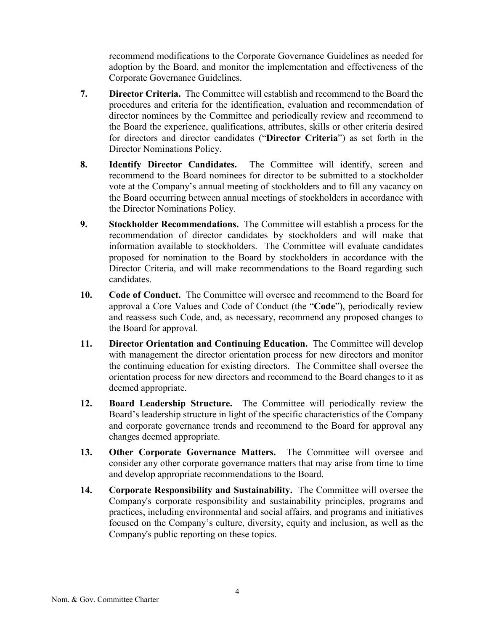recommend modifications to the Corporate Governance Guidelines as needed for adoption by the Board, and monitor the implementation and effectiveness of the Corporate Governance Guidelines.

- **7. Director Criteria.** The Committee will establish and recommend to the Board the procedures and criteria for the identification, evaluation and recommendation of director nominees by the Committee and periodically review and recommend to the Board the experience, qualifications, attributes, skills or other criteria desired for directors and director candidates ("**Director Criteria**") as set forth in the Director Nominations Policy.
- **8. Identify Director Candidates.** The Committee will identify, screen and recommend to the Board nominees for director to be submitted to a stockholder vote at the Company's annual meeting of stockholders and to fill any vacancy on the Board occurring between annual meetings of stockholders in accordance with the Director Nominations Policy.
- **9. Stockholder Recommendations.** The Committee will establish a process for the recommendation of director candidates by stockholders and will make that information available to stockholders. The Committee will evaluate candidates proposed for nomination to the Board by stockholders in accordance with the Director Criteria, and will make recommendations to the Board regarding such candidates.
- **10. Code of Conduct.** The Committee will oversee and recommend to the Board for approval a Core Values and Code of Conduct (the "**Code**"), periodically review and reassess such Code, and, as necessary, recommend any proposed changes to the Board for approval.
- **11. Director Orientation and Continuing Education.** The Committee will develop with management the director orientation process for new directors and monitor the continuing education for existing directors. The Committee shall oversee the orientation process for new directors and recommend to the Board changes to it as deemed appropriate.
- **12. Board Leadership Structure.** The Committee will periodically review the Board's leadership structure in light of the specific characteristics of the Company and corporate governance trends and recommend to the Board for approval any changes deemed appropriate.
- **13. Other Corporate Governance Matters.** The Committee will oversee and consider any other corporate governance matters that may arise from time to time and develop appropriate recommendations to the Board.
- **14. Corporate Responsibility and Sustainability.** The Committee will oversee the Company's corporate responsibility and sustainability principles, programs and practices, including environmental and social affairs, and programs and initiatives focused on the Company's culture, diversity, equity and inclusion, as well as the Company's public reporting on these topics.